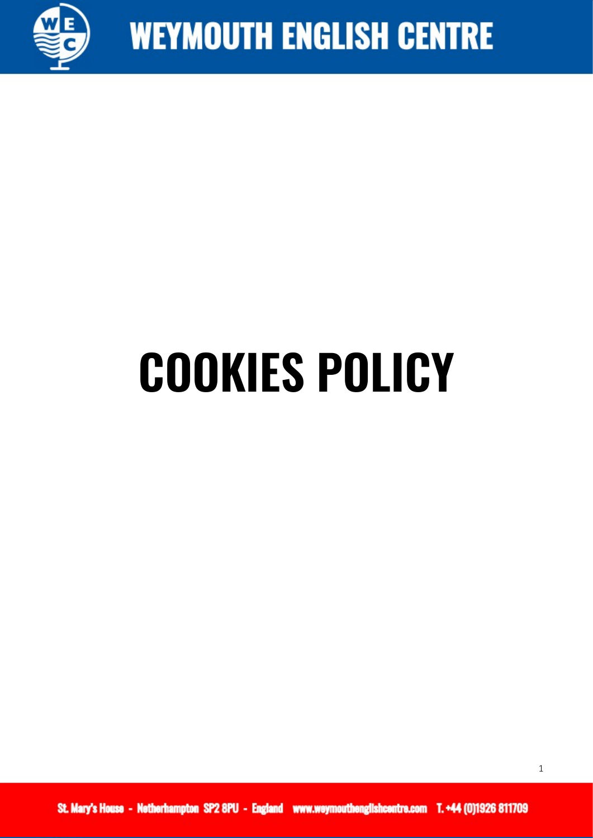

# **COOKIES POLICY**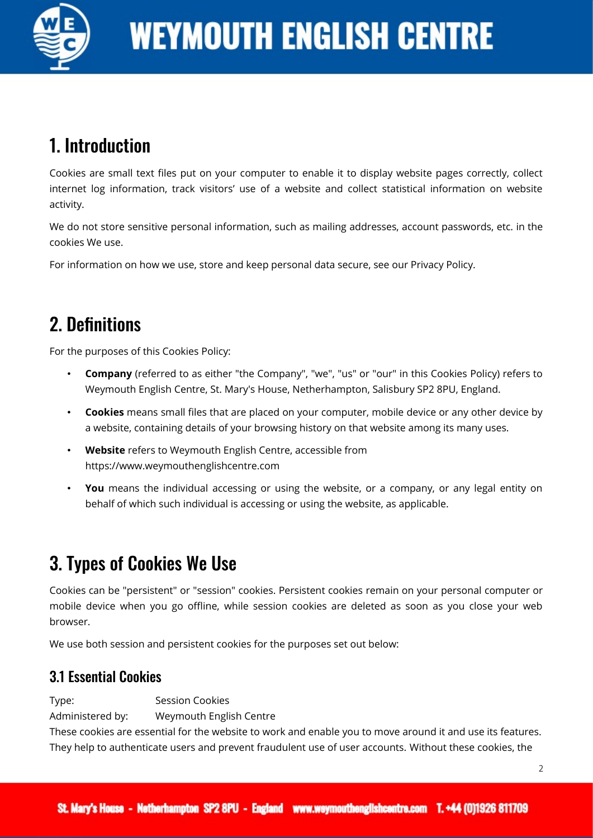

# 1. Introduction

Cookies are small text files put on your computer to enable it to display website pages correctly, collect internet log information, track visitors' use of a website and collect statistical information on website activity.

We do not store sensitive personal information, such as mailing addresses, account passwords, etc. in the cookies We use.

For information on how we use, store and keep personal data secure, see our Privacy Policy.

# 2. Definitions

For the purposes of this Cookies Policy:

- **Company** (referred to as either "the Company", "we", "us" or "our" in this Cookies Policy) refers to Weymouth English Centre, St. Mary's House, Netherhampton, Salisbury SP2 8PU, England.
- **Cookies** means small files that are placed on your computer, mobile device or any other device by a website, containing details of your browsing history on that website among its many uses.
- **Website** refers to Weymouth English Centre, accessible from https://www.weymouthenglishcentre.com
- **You** means the individual accessing or using the website, or a company, or any legal entity on behalf of which such individual is accessing or using the website, as applicable.

# 3. Types of Cookies We Use

Cookies can be "persistent" or "session" cookies. Persistent cookies remain on your personal computer or mobile device when you go offline, while session cookies are deleted as soon as you close your web browser.

We use both session and persistent cookies for the purposes set out below:

### 3.1 Essential Cookies

Type: Session Cookies

Administered by: Weymouth English Centre

These cookies are essential for the website to work and enable you to move around it and use its features. They help to authenticate users and prevent fraudulent use of user accounts. Without these cookies, the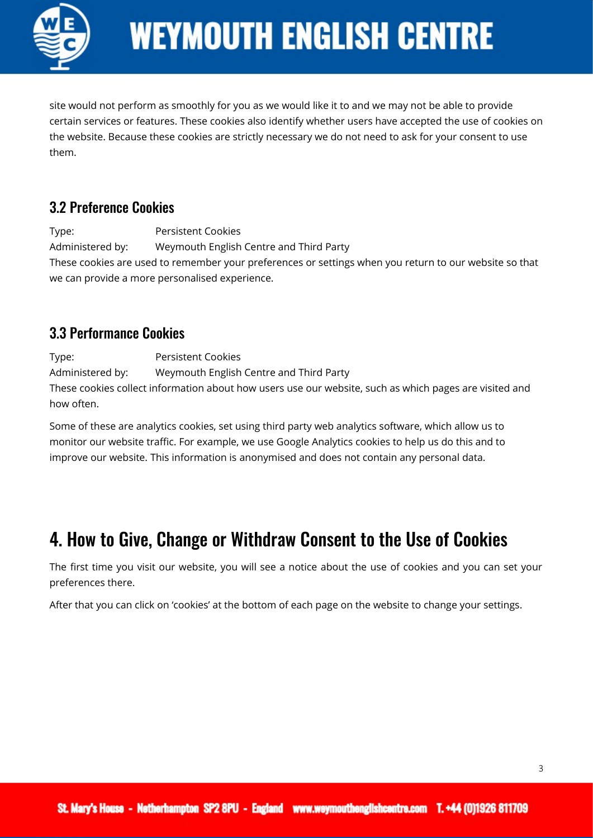

# **WEYMOUTH ENGLISH CENTRE**

site would not perform as smoothly for you as we would like it to and we may not be able to provide certain services or features. These cookies also identify whether users have accepted the use of cookies on the website. Because these cookies are strictly necessary we do not need to ask for your consent to use them.

#### 3.2 Preference Cookies

Type: Persistent Cookies Administered by: Weymouth English Centre and Third Party These cookies are used to remember your preferences or settings when you return to our website so that we can provide a more personalised experience.

### 3.3 Performance Cookies

Type: Persistent Cookies Administered by: Weymouth English Centre and Third Party These cookies collect information about how users use our website, such as which pages are visited and how often.

Some of these are analytics cookies, set using third party web analytics software, which allow us to monitor our website traffic. For example, we use Google Analytics cookies to help us do this and to improve our website. This information is anonymised and does not contain any personal data.

# 4. How to Give, Change or Withdraw Consent to the Use of Cookies

The first time you visit our website, you will see a notice about the use of cookies and you can set your preferences there.

After that you can click on 'cookies' at the bottom of each page on the website to change your settings.